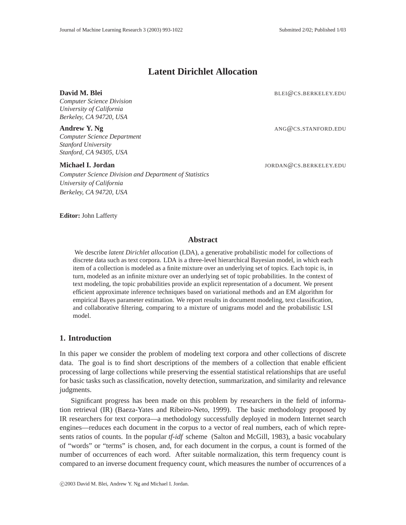# **Latent Dirichlet Allocation**

*Computer Science Division University of California Berkeley, CA 94720, USA*

**Andrew Y. Ng** ANG **Q** CS.STANFORD.EDU *Computer Science Department Stanford University Stanford, CA 94305, USA*

*Computer Science Division and Department of Statistics University of California Berkeley, CA 94720, USA*

**David M. Blei** BLEI@CS.BERKELEY.EDU

**Michael I. Jordan** JORDAN (CS.BERKELEY.EDU

**Editor:** John Lafferty

# **Abstract**

We describe *latent Dirichlet allocation* (LDA), a generative probabilistic model for collections of discrete data such as text corpora. LDA is a three-level hierarchical Bayesian model, in which each item of a collection is modeled as a finite mixture over an underlying set of topics. Each topic is, in turn, modeled as an infinite mixture over an underlying set of topic probabilities. In the context of text modeling, the topic probabilities provide an explicit representation of a document. We present efficient approximate inference techniques based on variational methods and an EM algorithm for empirical Bayes parameter estimation. We report results in document modeling, text classification, and collaborative filtering, comparing to a mixture of unigrams model and the probabilistic LSI model.

# **1. Introduction**

In this paper we consider the problem of modeling text corpora and other collections of discrete data. The goal is to find short descriptions of the members of a collection that enable efficient processing of large collections while preserving the essential statistical relationships that are useful for basic tasks such as classification, novelty detection, summarization, and similarity and relevance judgments.

Significant progress has been made on this problem by researchers in the field of information retrieval (IR) (Baeza-Yates and Ribeiro-Neto, 1999). The basic methodology proposed by IR researchers for text corpora—a methodology successfully deployed in modern Internet search engines—reduces each document in the corpus to a vector of real numbers, each of which represents ratios of counts. In the popular *tf-idf* scheme (Salton and McGill, 1983), a basic vocabulary of "words" or "terms" is chosen, and, for each document in the corpus, a count is formed of the number of occurrences of each word. After suitable normalization, this term frequency count is compared to an inverse document frequency count, which measures the number of occurrences of a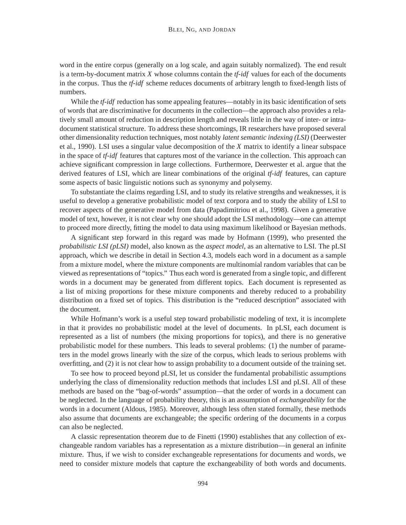word in the entire corpus (generally on a log scale, and again suitably normalized). The end result is a term-by-document matrix *X* whose columns contain the *tf-idf* values for each of the documents in the corpus. Thus the *tf-idf* scheme reduces documents of arbitrary length to fixed-length lists of numbers.

While the *tf-idf* reduction has some appealing features—notably in its basic identification of sets of words that are discriminative for documents in the collection—the approach also provides a relatively small amount of reduction in description length and reveals little in the way of inter- or intradocument statistical structure. To address these shortcomings, IR researchers have proposed several other dimensionality reduction techniques, most notably *latent semantic indexing (LSI)* (Deerwester et al., 1990). LSI uses a singular value decomposition of the *X* matrix to identify a linear subspace in the space of *tf-idf* features that captures most of the variance in the collection. This approach can achieve significant compression in large collections. Furthermore, Deerwester et al. argue that the derived features of LSI, which are linear combinations of the original *tf-idf* features, can capture some aspects of basic linguistic notions such as synonymy and polysemy.

To substantiate the claims regarding LSI, and to study its relative strengths and weaknesses, it is useful to develop a generative probabilistic model of text corpora and to study the ability of LSI to recover aspects of the generative model from data (Papadimitriou et al., 1998). Given a generative model of text, however, it is not clear why one should adopt the LSI methodology—one can attempt to proceed more directly, fitting the model to data using maximum likelihood or Bayesian methods.

A significant step forward in this regard was made by Hofmann (1999), who presented the *probabilistic LSI (pLSI)* model, also known as the *aspect model*, as an alternative to LSI. The pLSI approach, which we describe in detail in Section 4.3, models each word in a document as a sample from a mixture model, where the mixture components are multinomial random variables that can be viewed as representations of "topics." Thus each word is generated from a single topic, and different words in a document may be generated from different topics. Each document is represented as a list of mixing proportions for these mixture components and thereby reduced to a probability distribution on a fixed set of topics. This distribution is the "reduced description" associated with the document.

While Hofmann's work is a useful step toward probabilistic modeling of text, it is incomplete in that it provides no probabilistic model at the level of documents. In pLSI, each document is represented as a list of numbers (the mixing proportions for topics), and there is no generative probabilistic model for these numbers. This leads to several problems: (1) the number of parameters in the model grows linearly with the size of the corpus, which leads to serious problems with overfitting, and (2) it is not clear how to assign probability to a document outside of the training set.

To see how to proceed beyond pLSI, let us consider the fundamental probabilistic assumptions underlying the class of dimensionality reduction methods that includes LSI and pLSI. All of these methods are based on the "bag-of-words" assumption—that the order of words in a document can be neglected. In the language of probability theory, this is an assumption of *exchangeability* for the words in a document (Aldous, 1985). Moreover, although less often stated formally, these methods also assume that documents are exchangeable; the specific ordering of the documents in a corpus can also be neglected.

A classic representation theorem due to de Finetti (1990) establishes that any collection of exchangeable random variables has a representation as a mixture distribution—in general an infinite mixture. Thus, if we wish to consider exchangeable representations for documents and words, we need to consider mixture models that capture the exchangeability of both words and documents.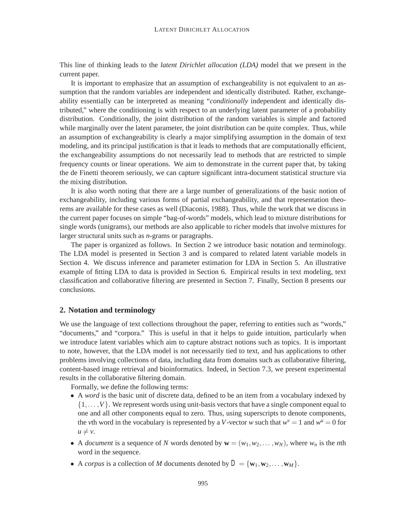This line of thinking leads to the *latent Dirichlet allocation (LDA)* model that we present in the current paper.

It is important to emphasize that an assumption of exchangeability is not equivalent to an assumption that the random variables are independent and identically distributed. Rather, exchangeability essentially can be interpreted as meaning "*conditionally* independent and identically distributed," where the conditioning is with respect to an underlying latent parameter of a probability distribution. Conditionally, the joint distribution of the random variables is simple and factored while marginally over the latent parameter, the joint distribution can be quite complex. Thus, while an assumption of exchangeability is clearly a major simplifying assumption in the domain of text modeling, and its principal justification is that it leads to methods that are computationally efficient, the exchangeability assumptions do not necessarily lead to methods that are restricted to simple frequency counts or linear operations. We aim to demonstrate in the current paper that, by taking the de Finetti theorem seriously, we can capture significant intra-document statistical structure via the mixing distribution.

It is also worth noting that there are a large number of generalizations of the basic notion of exchangeability, including various forms of partial exchangeability, and that representation theorems are available for these cases as well (Diaconis, 1988). Thus, while the work that we discuss in the current paper focuses on simple "bag-of-words" models, which lead to mixture distributions for single words (unigrams), our methods are also applicable to richer models that involve mixtures for larger structural units such as *n*-grams or paragraphs.

The paper is organized as follows. In Section 2 we introduce basic notation and terminology. The LDA model is presented in Section 3 and is compared to related latent variable models in Section 4. We discuss inference and parameter estimation for LDA in Section 5. An illustrative example of fitting LDA to data is provided in Section 6. Empirical results in text modeling, text classification and collaborative filtering are presented in Section 7. Finally, Section 8 presents our conclusions.

# **2. Notation and terminology**

We use the language of text collections throughout the paper, referring to entities such as "words," "documents," and "corpora." This is useful in that it helps to guide intuition, particularly when we introduce latent variables which aim to capture abstract notions such as topics. It is important to note, however, that the LDA model is not necessarily tied to text, and has applications to other problems involving collections of data, including data from domains such as collaborative filtering, content-based image retrieval and bioinformatics. Indeed, in Section 7.3, we present experimental results in the collaborative filtering domain.

Formally, we define the following terms:

- A *word* is the basic unit of discrete data, defined to be an item from a vocabulary indexed by  $\{1,\ldots,V\}$ . We represent words using unit-basis vectors that have a single component equal to one and all other components equal to zero. Thus, using superscripts to denote components, the *v*th word in the vocabulary is represented by a *V*-vector *w* such that  $w^{\nu} = 1$  and  $w^{\mu} = 0$  for  $u \neq v$ .
- A *document* is a sequence of *N* words denoted by  $\mathbf{w} = (w_1, w_2, \dots, w_N)$ , where  $w_n$  is the *n*th word in the sequence.
- A *corpus* is a collection of *M* documents denoted by  $D = \{w_1, w_2, \dots, w_M\}$ .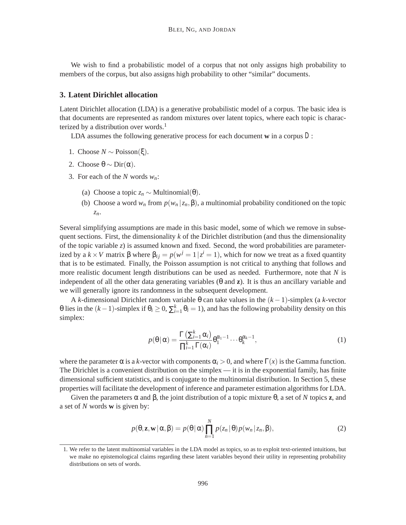We wish to find a probabilistic model of a corpus that not only assigns high probability to members of the corpus, but also assigns high probability to other "similar" documents.

# **3. Latent Dirichlet allocation**

Latent Dirichlet allocation (LDA) is a generative probabilistic model of a corpus. The basic idea is that documents are represented as random mixtures over latent topics, where each topic is characterized by a distribution over words.<sup>1</sup>

LDA assumes the following generative process for each document **w** in a corpus *D*:

- 1. Choose *N* ∼ Poisson(ξ).
- 2. Choose  $\theta \sim \text{Dir}(\alpha)$ .
- 3. For each of the *N* words *wn*:
	- (a) Choose a topic  $z_n$  ∼ Multinomial(θ).
	- (b) Choose a word  $w_n$  from  $p(w_n | z_n, \beta)$ , a multinomial probability conditioned on the topic *zn*.

Several simplifying assumptions are made in this basic model, some of which we remove in subsequent sections. First, the dimensionality *k* of the Dirichlet distribution (and thus the dimensionality of the topic variable *z*) is assumed known and fixed. Second, the word probabilities are parameterized by a  $k \times V$  matrix  $\beta$  where  $\beta_{ij} = p(w^j = 1 | z^i = 1)$ , which for now we treat as a fixed quantity that is to be estimated. Finally, the Poisson assumption is not critical to anything that follows and more realistic document length distributions can be used as needed. Furthermore, note that *N* is independent of all the other data generating variables (θ and **z**). It is thus an ancillary variable and we will generally ignore its randomness in the subsequent development.

A *k*-dimensional Dirichlet random variable θ can take values in the (*k* −1)-simplex (a *k*-vector θ lies in the  $(k-1)$ -simplex if  $θ_i ≥ 0$ ,  $Σ_{i=1}^k θ_i = 1$ ), and has the following probability density on this simplex:

$$
p(\theta \mid \alpha) = \frac{\Gamma\left(\sum_{i=1}^{k} \alpha_i\right)}{\prod_{i=1}^{k} \Gamma(\alpha_i)} \theta_1^{\alpha_1 - 1} \cdots \theta_k^{\alpha_k - 1},\tag{1}
$$

where the parameter  $\alpha$  is a *k*-vector with components  $\alpha_i > 0$ , and where  $\Gamma(x)$  is the Gamma function. The Dirichlet is a convenient distribution on the simplex — it is in the exponential family, has finite dimensional sufficient statistics, and is conjugate to the multinomial distribution. In Section 5, these properties will facilitate the development of inference and parameter estimation algorithms for LDA.

Given the parameters  $\alpha$  and  $\beta$ , the joint distribution of a topic mixture θ, a set of *N* topics **z**, and a set of *N* words **w** is given by:

$$
p(\theta, \mathbf{z}, \mathbf{w} \mid \alpha, \beta) = p(\theta \mid \alpha) \prod_{n=1}^{N} p(z_n \mid \theta) p(w_n \mid z_n, \beta), \tag{2}
$$

<sup>1.</sup> We refer to the latent multinomial variables in the LDA model as topics, so as to exploit text-oriented intuitions, but we make no epistemological claims regarding these latent variables beyond their utility in representing probability distributions on sets of words.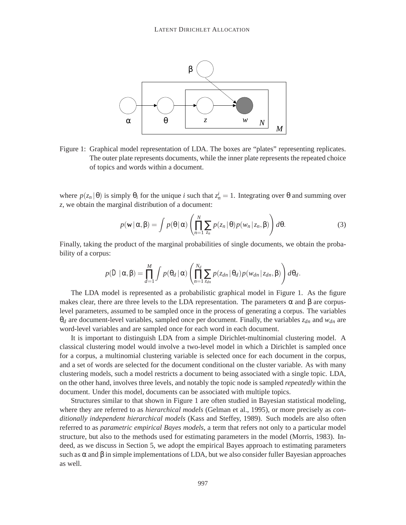

Figure 1: Graphical model representation of LDA. The boxes are "plates" representing replicates. The outer plate represents documents, while the inner plate represents the repeated choice of topics and words within a document.

where  $p(z_n | \theta)$  is simply  $\theta_i$  for the unique *i* such that  $z_n^i = 1$ . Integrating over  $\theta$  and summing over *z*, we obtain the marginal distribution of a document:

$$
p(\mathbf{w}|\alpha,\beta) = \int p(\theta|\alpha) \left( \prod_{n=1}^{N} \sum_{z_n} p(z_n|\theta) p(w_n|z_n,\beta) \right) d\theta.
$$
 (3)

Finally, taking the product of the marginal probabilities of single documents, we obtain the probability of a corpus:

$$
p(D|\alpha,\beta) = \prod_{d=1}^M \int p(\theta_d|\alpha) \left( \prod_{n=1}^{N_d} \sum_{z_{dn}} p(z_{dn}|\theta_d) p(w_{dn}|z_{dn},\beta) \right) d\theta_d.
$$

The LDA model is represented as a probabilistic graphical model in Figure 1. As the figure makes clear, there are three levels to the LDA representation. The parameters  $\alpha$  and  $\beta$  are corpuslevel parameters, assumed to be sampled once in the process of generating a corpus. The variables  $\theta_d$  are document-level variables, sampled once per document. Finally, the variables  $z_{dn}$  and  $w_{dn}$  are word-level variables and are sampled once for each word in each document.

It is important to distinguish LDA from a simple Dirichlet-multinomial clustering model. A classical clustering model would involve a two-level model in which a Dirichlet is sampled once for a corpus, a multinomial clustering variable is selected once for each document in the corpus, and a set of words are selected for the document conditional on the cluster variable. As with many clustering models, such a model restricts a document to being associated with a single topic. LDA, on the other hand, involves three levels, and notably the topic node is sampled *repeatedly* within the document. Under this model, documents can be associated with multiple topics.

Structures similar to that shown in Figure 1 are often studied in Bayesian statistical modeling, where they are referred to as *hierarchical models* (Gelman et al., 1995), or more precisely as *conditionally independent hierarchical models* (Kass and Steffey, 1989). Such models are also often referred to as *parametric empirical Bayes models*, a term that refers not only to a particular model structure, but also to the methods used for estimating parameters in the model (Morris, 1983). Indeed, as we discuss in Section 5, we adopt the empirical Bayes approach to estimating parameters such as  $\alpha$  and  $\beta$  in simple implementations of LDA, but we also consider fuller Bayesian approaches as well.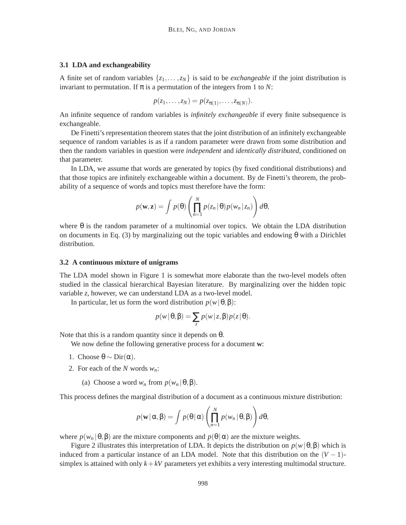#### **3.1 LDA and exchangeability**

A finite set of random variables  $\{z_1, \ldots, z_N\}$  is said to be *exchangeable* if the joint distribution is invariant to permutation. If  $\pi$  is a permutation of the integers from 1 to *N*:

$$
p(z_1,\ldots,z_N)=p(z_{\pi(1)},\ldots,z_{\pi(N)}).
$$

An infinite sequence of random variables is *infinitely exchangeable* if every finite subsequence is exchangeable.

De Finetti's representation theorem states that the joint distribution of an infinitely exchangeable sequence of random variables is as if a random parameter were drawn from some distribution and then the random variables in question were *independent* and *identically distributed*, conditioned on that parameter.

In LDA, we assume that words are generated by topics (by fixed conditional distributions) and that those topics are infinitely exchangeable within a document. By de Finetti's theorem, the probability of a sequence of words and topics must therefore have the form:

$$
p(\mathbf{w}, \mathbf{z}) = \int p(\theta) \left( \prod_{n=1}^{N} p(z_n | \theta) p(w_n | z_n) \right) d\theta,
$$

where  $\theta$  is the random parameter of a multinomial over topics. We obtain the LDA distribution on documents in Eq. (3) by marginalizing out the topic variables and endowing  $\theta$  with a Dirichlet distribution.

#### **3.2 A continuous mixture of unigrams**

The LDA model shown in Figure 1 is somewhat more elaborate than the two-level models often studied in the classical hierarchical Bayesian literature. By marginalizing over the hidden topic variable *z*, however, we can understand LDA as a two-level model.

In particular, let us form the word distribution *p*(*w*|θ,β):

$$
p(w | \theta, \beta) = \sum_{z} p(w | z, \beta) p(z | \theta).
$$

Note that this is a random quantity since it depends on  $θ$ .

We now define the following generative process for a document **w**:

- 1. Choose  $θ \sim Dir(α)$ .
- 2. For each of the *N* words *wn*:
	- (a) Choose a word  $w_n$  from  $p(w_n | \theta, \beta)$ .

This process defines the marginal distribution of a document as a continuous mixture distribution:

$$
p(\mathbf{w} | \alpha, \beta) = \int p(\theta | \alpha) \left( \prod_{n=1}^{N} p(w_n | \theta, \beta) \right) d\theta,
$$

where  $p(w_n | \theta, \beta)$  are the mixture components and  $p(\theta | \alpha)$  are the mixture weights.

Figure 2 illustrates this interpretation of LDA. It depicts the distribution on *p*(*w*|θ,β) which is induced from a particular instance of an LDA model. Note that this distribution on the  $(V - 1)$ simplex is attained with only  $k+kV$  parameters yet exhibits a very interesting multimodal structure.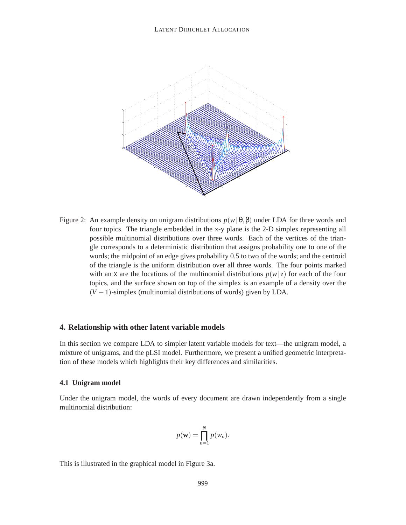

Figure 2: An example density on unigram distributions  $p(w | \theta, \beta)$  under LDA for three words and four topics. The triangle embedded in the x-y plane is the 2-D simplex representing all possible multinomial distributions over three words. Each of the vertices of the triangle corresponds to a deterministic distribution that assigns probability one to one of the words; the midpoint of an edge gives probability 0.5 to two of the words; and the centroid of the triangle is the uniform distribution over all three words. The four points marked with an x are the locations of the multinomial distributions  $p(w|z)$  for each of the four topics, and the surface shown on top of the simplex is an example of a density over the  $(V-1)$ -simplex (multinomial distributions of words) given by LDA.

#### **4. Relationship with other latent variable models**

In this section we compare LDA to simpler latent variable models for text—the unigram model, a mixture of unigrams, and the pLSI model. Furthermore, we present a unified geometric interpretation of these models which highlights their key differences and similarities.

#### **4.1 Unigram model**

Under the unigram model, the words of every document are drawn independently from a single multinomial distribution:

$$
p(\mathbf{w}) = \prod_{n=1}^{N} p(w_n).
$$

This is illustrated in the graphical model in Figure 3a.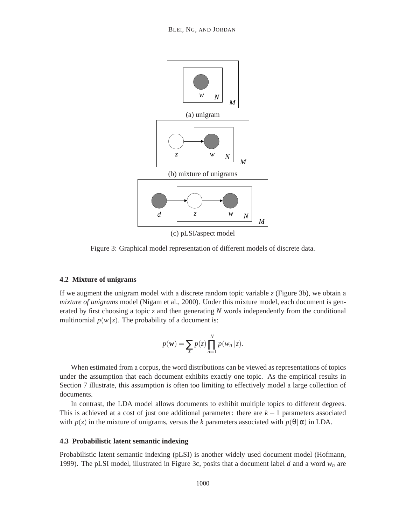

Figure 3: Graphical model representation of different models of discrete data.

#### **4.2 Mixture of unigrams**

If we augment the unigram model with a discrete random topic variable *z* (Figure 3b), we obtain a *mixture of unigrams* model (Nigam et al., 2000). Under this mixture model, each document is generated by first choosing a topic *z* and then generating *N* words independently from the conditional multinomial  $p(w|z)$ . The probability of a document is:

$$
p(\mathbf{w}) = \sum_{z} p(z) \prod_{n=1}^{N} p(w_n | z).
$$

When estimated from a corpus, the word distributions can be viewed as representations of topics under the assumption that each document exhibits exactly one topic. As the empirical results in Section 7 illustrate, this assumption is often too limiting to effectively model a large collection of documents.

In contrast, the LDA model allows documents to exhibit multiple topics to different degrees. This is achieved at a cost of just one additional parameter: there are  $k - 1$  parameters associated with  $p(z)$  in the mixture of unigrams, versus the *k* parameters associated with  $p(\theta | \alpha)$  in LDA.

### **4.3 Probabilistic latent semantic indexing**

Probabilistic latent semantic indexing (pLSI) is another widely used document model (Hofmann, 1999). The pLSI model, illustrated in Figure 3c, posits that a document label *d* and a word *wn* are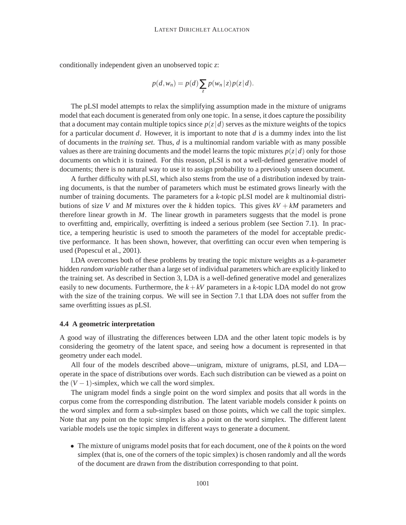conditionally independent given an unobserved topic *z*:

$$
p(d, w_n) = p(d) \sum_{z} p(w_n | z) p(z | d).
$$

The pLSI model attempts to relax the simplifying assumption made in the mixture of unigrams model that each document is generated from only one topic. In a sense, it does capture the possibility that a document may contain multiple topics since  $p(z|d)$  serves as the mixture weights of the topics for a particular document *d*. However, it is important to note that *d* is a dummy index into the list of documents in the *training set*. Thus, *d* is a multinomial random variable with as many possible values as there are training documents and the model learns the topic mixtures  $p(z|d)$  only for those documents on which it is trained. For this reason, pLSI is not a well-defined generative model of documents; there is no natural way to use it to assign probability to a previously unseen document.

A further difficulty with pLSI, which also stems from the use of a distribution indexed by training documents, is that the number of parameters which must be estimated grows linearly with the number of training documents. The parameters for a *k*-topic pLSI model are *k* multinomial distributions of size *V* and *M* mixtures over the *k* hidden topics. This gives  $kV + kM$  parameters and therefore linear growth in *M*. The linear growth in parameters suggests that the model is prone to overfitting and, empirically, overfitting is indeed a serious problem (see Section 7.1). In practice, a tempering heuristic is used to smooth the parameters of the model for acceptable predictive performance. It has been shown, however, that overfitting can occur even when tempering is used (Popescul et al., 2001).

LDA overcomes both of these problems by treating the topic mixture weights as a *k*-parameter hidden *random variable* rather than a large set of individual parameters which are explicitly linked to the training set. As described in Section 3, LDA is a well-defined generative model and generalizes easily to new documents. Furthermore, the  $k + kV$  parameters in a  $k$ -topic LDA model do not grow with the size of the training corpus. We will see in Section 7.1 that LDA does not suffer from the same overfitting issues as pLSI.

### **4.4 A geometric interpretation**

A good way of illustrating the differences between LDA and the other latent topic models is by considering the geometry of the latent space, and seeing how a document is represented in that geometry under each model.

All four of the models described above—unigram, mixture of unigrams, pLSI, and LDA operate in the space of distributions over words. Each such distribution can be viewed as a point on the  $(V - 1)$ -simplex, which we call the word simplex.

The unigram model finds a single point on the word simplex and posits that all words in the corpus come from the corresponding distribution. The latent variable models consider *k* points on the word simplex and form a sub-simplex based on those points, which we call the topic simplex. Note that any point on the topic simplex is also a point on the word simplex. The different latent variable models use the topic simplex in different ways to generate a document.

• The mixture of unigrams model posits that for each document, one of the *k* points on the word simplex (that is, one of the corners of the topic simplex) is chosen randomly and all the words of the document are drawn from the distribution corresponding to that point.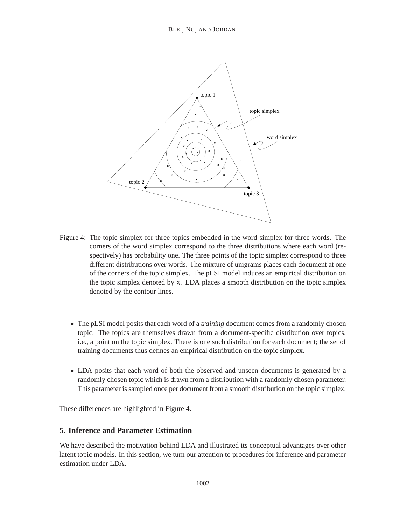

- Figure 4: The topic simplex for three topics embedded in the word simplex for three words. The corners of the word simplex correspond to the three distributions where each word (respectively) has probability one. The three points of the topic simplex correspond to three different distributions over words. The mixture of unigrams places each document at one of the corners of the topic simplex. The pLSI model induces an empirical distribution on the topic simplex denoted by x. LDA places a smooth distribution on the topic simplex denoted by the contour lines.
	- The pLSI model posits that each word of a *training* document comes from a randomly chosen topic. The topics are themselves drawn from a document-specific distribution over topics, i.e., a point on the topic simplex. There is one such distribution for each document; the set of training documents thus defines an empirical distribution on the topic simplex.
	- LDA posits that each word of both the observed and unseen documents is generated by a randomly chosen topic which is drawn from a distribution with a randomly chosen parameter. This parameter is sampled once per document from a smooth distribution on the topic simplex.

These differences are highlighted in Figure 4.

# **5. Inference and Parameter Estimation**

We have described the motivation behind LDA and illustrated its conceptual advantages over other latent topic models. In this section, we turn our attention to procedures for inference and parameter estimation under LDA.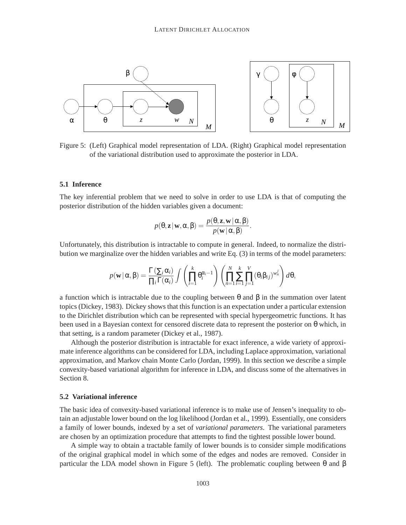

Figure 5: (Left) Graphical model representation of LDA. (Right) Graphical model representation of the variational distribution used to approximate the posterior in LDA.

#### **5.1 Inference**

The key inferential problem that we need to solve in order to use LDA is that of computing the posterior distribution of the hidden variables given a document:

$$
p(\theta, \mathbf{z} | \mathbf{w}, \alpha, \beta) = \frac{p(\theta, \mathbf{z}, \mathbf{w} | \alpha, \beta)}{p(\mathbf{w} | \alpha, \beta)}.
$$

Unfortunately, this distribution is intractable to compute in general. Indeed, to normalize the distribution we marginalize over the hidden variables and write Eq. (3) in terms of the model parameters:

$$
p(\mathbf{w} | \alpha, \beta) = \frac{\Gamma(\sum_i \alpha_i)}{\prod_i \Gamma(\alpha_i)} \int \left( \prod_{i=1}^k \theta_i^{\alpha_i - 1} \right) \left( \prod_{n=1}^N \sum_{i=1}^k \prod_{j=1}^V (\theta_i \beta_{ij})^{w_n^j} \right) d\theta,
$$

a function which is intractable due to the coupling between  $\theta$  and  $\beta$  in the summation over latent topics (Dickey, 1983). Dickey shows that this function is an expectation under a particular extension to the Dirichlet distribution which can be represented with special hypergeometric functions. It has been used in a Bayesian context for censored discrete data to represent the posterior on  $\theta$  which, in that setting, is a random parameter (Dickey et al., 1987).

Although the posterior distribution is intractable for exact inference, a wide variety of approximate inference algorithms can be considered for LDA, including Laplace approximation, variational approximation, and Markov chain Monte Carlo (Jordan, 1999). In this section we describe a simple convexity-based variational algorithm for inference in LDA, and discuss some of the alternatives in Section 8.

#### **5.2 Variational inference**

The basic idea of convexity-based variational inference is to make use of Jensen's inequality to obtain an adjustable lower bound on the log likelihood (Jordan et al., 1999). Essentially, one considers a family of lower bounds, indexed by a set of *variational parameters*. The variational parameters are chosen by an optimization procedure that attempts to find the tightest possible lower bound.

A simple way to obtain a tractable family of lower bounds is to consider simple modifications of the original graphical model in which some of the edges and nodes are removed. Consider in particular the LDA model shown in Figure 5 (left). The problematic coupling between θ and β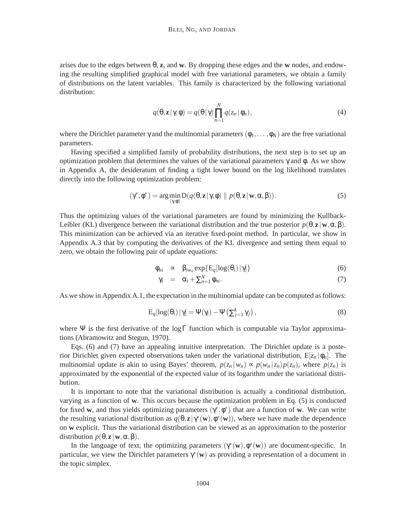arises due to the edges between θ, **z**, and **w**. By dropping these edges and the **w** nodes, and endowing the resulting simplified graphical model with free variational parameters, we obtain a family of distributions on the latent variables. This family is characterized by the following variational distribution:

$$
q(\theta, \mathbf{z} | \gamma, \phi) = q(\theta | \gamma) \prod_{n=1}^{N} q(z_n | \phi_n), \qquad (4)
$$

where the Dirichlet parameter  $\gamma$  and the multinomial parameters  $(\phi_1, \dots, \phi_N)$  are the free variational parameters.

Having specified a simplified family of probability distributions, the next step is to set up an optimization problem that determines the values of the variational parameters γ and φ. As we show in Appendix A, the desideratum of finding a tight lower bound on the log likelihood translates directly into the following optimization problem:

$$
(\gamma^*, \phi^*) = \arg\min_{(\gamma, \phi)} D(q(\theta, \mathbf{z} | \gamma, \phi) \parallel p(\theta, \mathbf{z} | \mathbf{w}, \alpha, \beta)).
$$
\n(5)

Thus the optimizing values of the variational parameters are found by minimizing the Kullback-Leibler (KL) divergence between the variational distribution and the true posterior  $p(\theta, \mathbf{z} | \mathbf{w}, \alpha, \beta)$ . This minimization can be achieved via an iterative fixed-point method. In particular, we show in Appendix A.3 that by computing the derivatives of the KL divergence and setting them equal to zero, we obtain the following pair of update equations:

$$
\phi_{ni} \quad \propto \quad \beta_{iw_n} \exp\{ \mathcal{E}_q[\log(\theta_i) | \gamma] \} \tag{6}
$$

$$
\gamma_i = \alpha_i + \sum_{n=1}^N \phi_{ni}.
$$
\n(7)

As we show in Appendix A.1, the expectation in the multinomial update can be computed as follows:

$$
E_q[log(\theta_i) | \gamma] = \Psi(\gamma_i) - \Psi(\sum_{j=1}^k \gamma_j), \qquad (8)
$$

where Ψ is the first derivative of the log Γ function which is computable via Taylor approximations (Abramowitz and Stegun, 1970).

Eqs. (6) and (7) have an appealing intuitive interpretation. The Dirichlet update is a posterior Dirichlet given expected observations taken under the variational distribution,  $E[z_n | \phi_n]$ . The multinomial update is akin to using Bayes' theorem,  $p(z_n | w_n) \propto p(w_n | z_n) p(z_n)$ , where  $p(z_n)$  is approximated by the exponential of the expected value of its logarithm under the variational distribution.

It is important to note that the variational distribution is actually a conditional distribution, varying as a function of **w**. This occurs because the optimization problem in Eq. (5) is conducted for fixed **w**, and thus yields optimizing parameters  $(\gamma^*, \phi^*)$  that are a function of **w**. We can write the resulting variational distribution as  $q(\theta, \mathbf{z}|\gamma^*(\mathbf{w}), \phi^*(\mathbf{w}))$ , where we have made the dependence on **w** explicit. Thus the variational distribution can be viewed as an approximation to the posterior distribution  $p(\theta, \mathbf{z} | \mathbf{w}, \alpha, \beta)$ .

In the language of text, the optimizing parameters  $(\gamma^*(\mathbf{w}), \phi^*(\mathbf{w}))$  are document-specific. In particular, we view the Dirichlet parameters  $\gamma^*(\mathbf{w})$  as providing a representation of a document in the topic simplex.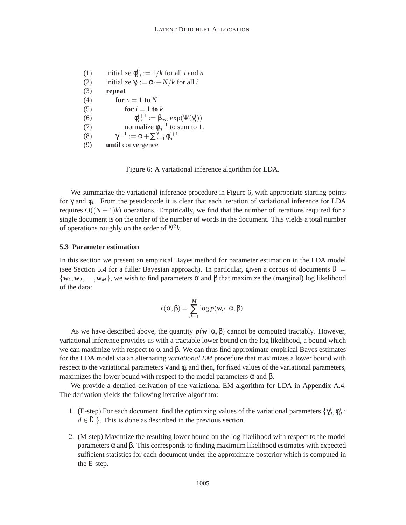(1) initialize  $\phi_{ni}^0 := 1/k$  for all *i* and *n* (2) initialize  $\gamma_i := \alpha_i + N/k$  for all *i* (3) **repeat** (4) **for**  $n = 1$  **to**  $N$ (5) **for**  $i = 1$  **to**  $k$ (6)  $\phi_{ni}^{t+1} := \beta_{iw_n} \exp(\Psi(\gamma_i^t))$ (7) normalize  $\phi_n^{t+1}$  to sum to 1. (8)  $\gamma^{t+1} := \alpha + \sum_{n=1}^{N} \phi_n^{t+1}$ (9) **until** convergence

Figure 6: A variational inference algorithm for LDA.

We summarize the variational inference procedure in Figure 6, with appropriate starting points for γ and φ*n*. From the pseudocode it is clear that each iteration of variational inference for LDA requires  $O((N+1)k)$  operations. Empirically, we find that the number of iterations required for a single document is on the order of the number of words in the document. This yields a total number of operations roughly on the order of  $N^2k$ .

### **5.3 Parameter estimation**

In this section we present an empirical Bayes method for parameter estimation in the LDA model (see Section 5.4 for a fuller Bayesian approach). In particular, given a corpus of documents  $D =$  ${\bf w}_1, {\bf w}_2, \ldots, {\bf w}_M$ , we wish to find parameters  $\alpha$  and  $\beta$  that maximize the (marginal) log likelihood of the data:

$$
\ell(\alpha, \beta) = \sum_{d=1}^{M} \log p(\mathbf{w}_d | \alpha, \beta).
$$

As we have described above, the quantity  $p(\mathbf{w}|\alpha,\beta)$  cannot be computed tractably. However, variational inference provides us with a tractable lower bound on the log likelihood, a bound which we can maximize with respect to  $\alpha$  and  $\beta$ . We can thus find approximate empirical Bayes estimates for the LDA model via an alternating *variational EM* procedure that maximizes a lower bound with respect to the variational parameters  $\gamma$  and  $\phi$ , and then, for fixed values of the variational parameters, maximizes the lower bound with respect to the model parameters  $\alpha$  and  $\beta$ .

We provide a detailed derivation of the variational EM algorithm for LDA in Appendix A.4. The derivation yields the following iterative algorithm:

- 1. (E-step) For each document, find the optimizing values of the variational parameters  $\{\gamma_d^*, \phi_d^* :$  $d \in D$ . This is done as described in the previous section.
- 2. (M-step) Maximize the resulting lower bound on the log likelihood with respect to the model parameters α and β. This corresponds to finding maximum likelihood estimates with expected sufficient statistics for each document under the approximate posterior which is computed in the E-step.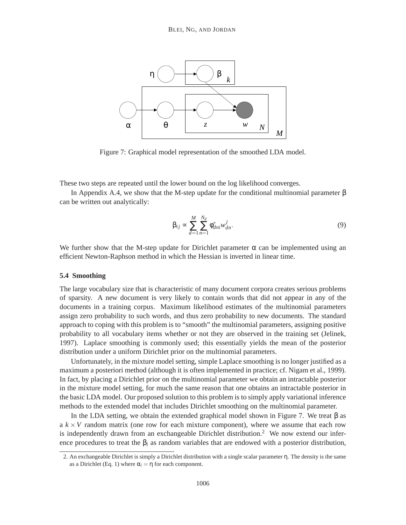

Figure 7: Graphical model representation of the smoothed LDA model.

These two steps are repeated until the lower bound on the log likelihood converges.

In Appendix A.4, we show that the M-step update for the conditional multinomial parameter  $β$ can be written out analytically:

$$
\beta_{ij} \propto \sum_{d=1}^{M} \sum_{n=1}^{N_d} \phi_{dni}^* w_{dn}^j.
$$
\n(9)

We further show that the M-step update for Dirichlet parameter  $\alpha$  can be implemented using an efficient Newton-Raphson method in which the Hessian is inverted in linear time.

### **5.4 Smoothing**

The large vocabulary size that is characteristic of many document corpora creates serious problems of sparsity. A new document is very likely to contain words that did not appear in any of the documents in a training corpus. Maximum likelihood estimates of the multinomial parameters assign zero probability to such words, and thus zero probability to new documents. The standard approach to coping with this problem is to "smooth" the multinomial parameters, assigning positive probability to all vocabulary items whether or not they are observed in the training set (Jelinek, 1997). Laplace smoothing is commonly used; this essentially yields the mean of the posterior distribution under a uniform Dirichlet prior on the multinomial parameters.

Unfortunately, in the mixture model setting, simple Laplace smoothing is no longer justified as a maximum a posteriori method (although it is often implemented in practice; cf. Nigam et al., 1999). In fact, by placing a Dirichlet prior on the multinomial parameter we obtain an intractable posterior in the mixture model setting, for much the same reason that one obtains an intractable posterior in the basic LDA model. Our proposed solution to this problem is to simply apply variational inference methods to the extended model that includes Dirichlet smoothing on the multinomial parameter.

In the LDA setting, we obtain the extended graphical model shown in Figure 7. We treat β as a  $k \times V$  random matrix (one row for each mixture component), where we assume that each row is independently drawn from an exchangeable Dirichlet distribution.<sup>2</sup> We now extend our inference procedures to treat the  $\beta_i$  as random variables that are endowed with a posterior distribution,

<sup>2.</sup> An exchangeable Dirichlet is simply a Dirichlet distribution with a single scalar parameter η. The density is the same as a Dirichlet (Eq. 1) where  $\alpha_i = \eta$  for each component.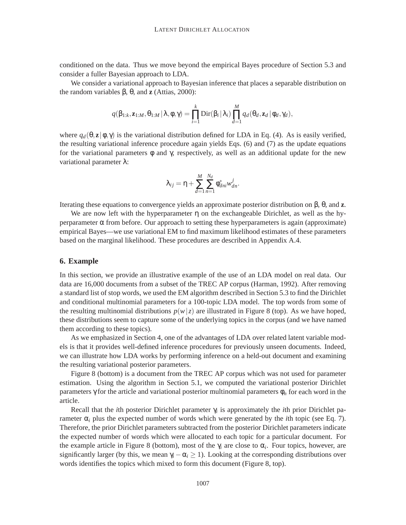conditioned on the data. Thus we move beyond the empirical Bayes procedure of Section 5.3 and consider a fuller Bayesian approach to LDA.

We consider a variational approach to Bayesian inference that places a separable distribution on the random variables β, θ, and **z** (Attias, 2000):

$$
q(\beta_{1:k},\mathbf{z}_{1:M},\theta_{1:M} | \lambda, \phi, \gamma) = \prod_{i=1}^k \text{Dir}(\beta_i | \lambda_i) \prod_{d=1}^M q_d(\theta_d, \mathbf{z}_d | \phi_d, \gamma_d),
$$

where  $q_d(\theta, \mathbf{z} | \phi, \gamma)$  is the variational distribution defined for LDA in Eq. (4). As is easily verified, the resulting variational inference procedure again yields Eqs. (6) and (7) as the update equations for the variational parameters  $\phi$  and  $\gamma$ , respectively, as well as an additional update for the new variational parameter λ:

$$
\lambda_{ij} = \eta + \sum_{d=1}^M \sum_{n=1}^{N_d} \phi_{dni}^* w_{dn}^j.
$$

Iterating these equations to convergence yields an approximate posterior distribution on β, θ, and **z**.

We are now left with the hyperparameter  $\eta$  on the exchangeable Dirichlet, as well as the hyperparameter  $\alpha$  from before. Our approach to setting these hyperparameters is again (approximate) empirical Bayes—we use variational EM to find maximum likelihood estimates of these parameters based on the marginal likelihood. These procedures are described in Appendix A.4.

### **6. Example**

In this section, we provide an illustrative example of the use of an LDA model on real data. Our data are 16,000 documents from a subset of the TREC AP corpus (Harman, 1992). After removing a standard list of stop words, we used the EM algorithm described in Section 5.3 to find the Dirichlet and conditional multinomial parameters for a 100-topic LDA model. The top words from some of the resulting multinomial distributions  $p(w|z)$  are illustrated in Figure 8 (top). As we have hoped, these distributions seem to capture some of the underlying topics in the corpus (and we have named them according to these topics).

As we emphasized in Section 4, one of the advantages of LDA over related latent variable models is that it provides well-defined inference procedures for previously unseen documents. Indeed, we can illustrate how LDA works by performing inference on a held-out document and examining the resulting variational posterior parameters.

Figure 8 (bottom) is a document from the TREC AP corpus which was not used for parameter estimation. Using the algorithm in Section 5.1, we computed the variational posterior Dirichlet parameters γ for the article and variational posterior multinomial parameters φ*<sup>n</sup>* for each word in the article.

Recall that the *i*th posterior Dirichlet parameter γ*<sup>i</sup>* is approximately the *i*th prior Dirichlet parameter  $\alpha_i$  plus the expected number of words which were generated by the *i*th topic (see Eq. 7). Therefore, the prior Dirichlet parameters subtracted from the posterior Dirichlet parameters indicate the expected number of words which were allocated to each topic for a particular document. For the example article in Figure 8 (bottom), most of the  $\gamma_i$  are close to  $\alpha_i$ . Four topics, however, are significantly larger (by this, we mean  $\gamma_i - \alpha_i \ge 1$ ). Looking at the corresponding distributions over words identifies the topics which mixed to form this document (Figure 8, top).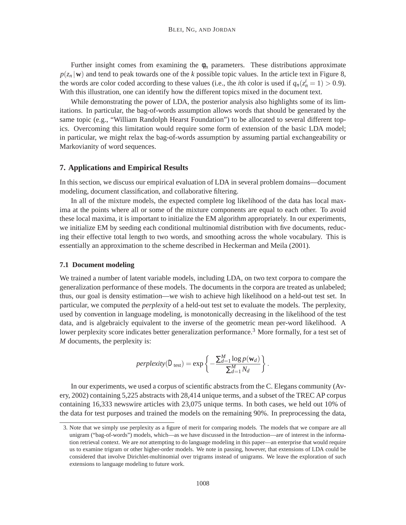Further insight comes from examining the  $\phi_n$  parameters. These distributions approximate  $p(z_n|\mathbf{w})$  and tend to peak towards one of the *k* possible topic values. In the article text in Figure 8, the words are color coded according to these values (i.e., the *i*th color is used if  $q_n(z_n^i = 1) > 0.9$ ). With this illustration, one can identify how the different topics mixed in the document text.

While demonstrating the power of LDA, the posterior analysis also highlights some of its limitations. In particular, the bag-of-words assumption allows words that should be generated by the same topic (e.g., "William Randolph Hearst Foundation") to be allocated to several different topics. Overcoming this limitation would require some form of extension of the basic LDA model; in particular, we might relax the bag-of-words assumption by assuming partial exchangeability or Markovianity of word sequences.

#### **7. Applications and Empirical Results**

In this section, we discuss our empirical evaluation of LDA in several problem domains—document modeling, document classification, and collaborative filtering.

In all of the mixture models, the expected complete log likelihood of the data has local maxima at the points where all or some of the mixture components are equal to each other. To avoid these local maxima, it is important to initialize the EM algorithm appropriately. In our experiments, we initialize EM by seeding each conditional multinomial distribution with five documents, reducing their effective total length to two words, and smoothing across the whole vocabulary. This is essentially an approximation to the scheme described in Heckerman and Meila (2001).

#### **7.1 Document modeling**

We trained a number of latent variable models, including LDA, on two text corpora to compare the generalization performance of these models. The documents in the corpora are treated as unlabeled; thus, our goal is density estimation—we wish to achieve high likelihood on a held-out test set. In particular, we computed the *perplexity* of a held-out test set to evaluate the models. The perplexity, used by convention in language modeling, is monotonically decreasing in the likelihood of the test data, and is algebraicly equivalent to the inverse of the geometric mean per-word likelihood. A lower perplexity score indicates better generalization performance.<sup>3</sup> More formally, for a test set of *M* documents, the perplexity is:

$$
perplexity(D_{\text{test}}) = \exp \left\{-\frac{\sum_{d=1}^{M} \log p(\mathbf{w}_d)}{\sum_{d=1}^{M} N_d}\right\}.
$$

In our experiments, we used a corpus of scientific abstracts from the C. Elegans community (Avery, 2002) containing 5,225 abstracts with 28,414 unique terms, and a subset of the TREC AP corpus containing 16,333 newswire articles with 23,075 unique terms. In both cases, we held out 10% of the data for test purposes and trained the models on the remaining 90%. In preprocessing the data,

<sup>3.</sup> Note that we simply use perplexity as a figure of merit for comparing models. The models that we compare are all unigram ("bag-of-words") models, which—as we have discussed in the Introduction—are of interest in the information retrieval context. We are *not* attempting to do language modeling in this paper—an enterprise that would require us to examine trigram or other higher-order models. We note in passing, however, that extensions of LDA could be considered that involve Dirichlet-multinomial over trigrams instead of unigrams. We leave the exploration of such extensions to language modeling to future work.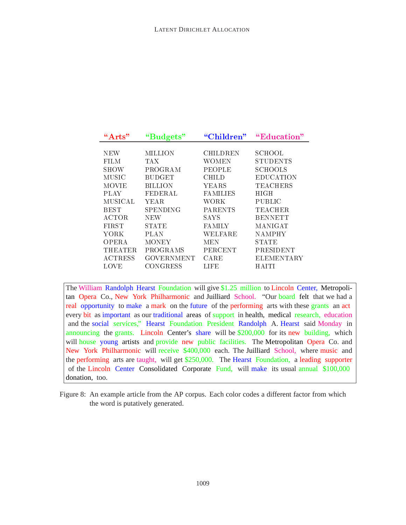| $\rm ^{44}Arts$ | "Budgets"         | "Children"      | "Education"       |
|-----------------|-------------------|-----------------|-------------------|
|                 |                   |                 |                   |
| NEW             | MILLION           | CHILDREN        | SCHOOL            |
| FILM            | TA X              | WOMEN           | <b>STUDENTS</b>   |
| SHOW            | PROGRAM           | <b>PEOPLE</b>   | <b>SCHOOLS</b>    |
| MUSIC           | <b>BUDGET</b>     | CHILD           | EDUCATION         |
| MOVIE           | BILLION           | YEARS           | TEACHERS          |
| PLAY            | FEDERAL           | <b>FAMILIES</b> | HIGH              |
| MUSICAL         | YEAR.             | WORK            | PUBLIC            |
| <b>BEST</b>     | <b>SPENDING</b>   | <b>PARENTS</b>  | <b>TEACHER</b>    |
| <b>ACTOR</b>    | <b>NEW</b>        | <b>SAYS</b>     | <b>BENNETT</b>    |
| <b>FIRST</b>    | STATE             | <b>FAMILY</b>   | MANIGAT           |
| YORK            | PLAN              | WELFARE         | NAMPHY            |
| <b>OPERA</b>    | MONEY             | MEN             | <b>STATE</b>      |
| <b>THEATER</b>  | PROGRAMS          | <b>PERCENT</b>  | PRESIDENT         |
| <b>ACTRESS</b>  | <b>GOVERNMENT</b> | CARE            | <b>ELEMENTARY</b> |
| LOVE            | CONGRESS          | LIFE            | HAITI             |

The William Randolph Hearst Foundation will give \$1.25 million to Lincoln Center, Metropolitan Opera Co., New York Philharmonic and Juilliard School. "Our board felt that we had a real opportunity to make a mark on the future of the performing arts with these grants an act every bit as important as our traditional areas of support in health, medical research, education and the social services," Hearst Foundation President Randolph A. Hearst said Monday in announcing the grants. Lincoln Center's share will be \$200,000 for its new building, which will house young artists and provide new public facilities. The Metropolitan Opera Co. and New York Philharmonic will receive \$400,000 each. The Juilliard School, where music and the performing arts are taught, will get \$250,000. The Hearst Foundation, a leading supporter of the Lincoln Center Consolidated Corporate Fund, will make its usual annual \$100,000 donation, too.

Figure 8: An example article from the AP corpus. Each color codes a different factor from which the word is putatively generated.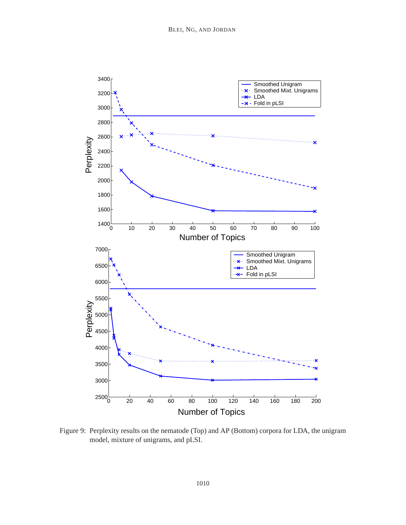

Figure 9: Perplexity results on the nematode (Top) and AP (Bottom) corpora for LDA, the unigram model, mixture of unigrams, and pLSI.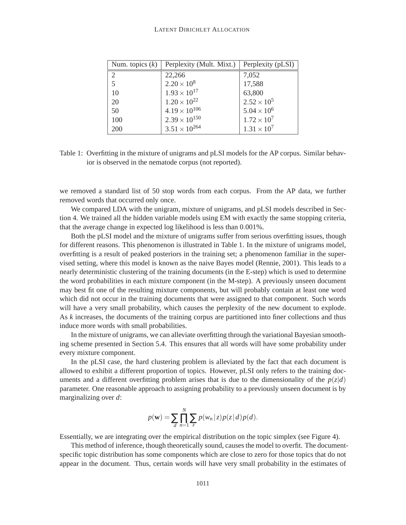#### LATENT DIRICHLET ALLOCATION

| Num. topics $(k)$ | Perplexity (Mult. Mixt.) | Perplexity (pLSI)    |
|-------------------|--------------------------|----------------------|
| 2                 | 22,266                   | 7,052                |
| 5                 | $2.20 \times 10^8$       | 17,588               |
| 10                | $1.93 \times 10^{17}$    | 63,800               |
| 20                | $1.20 \times 10^{22}$    | $2.52 \times 10^{5}$ |
| 50                | $4.19 \times 10^{106}$   | $5.04 \times 10^{6}$ |
| 100               | $2.39 \times 10^{150}$   | $1.72 \times 10^{7}$ |
| 200               | $3.51 \times 10^{264}$   | $1.31 \times 10^{7}$ |

Table 1: Overfitting in the mixture of unigrams and pLSI models for the AP corpus. Similar behavior is observed in the nematode corpus (not reported).

we removed a standard list of 50 stop words from each corpus. From the AP data, we further removed words that occurred only once.

We compared LDA with the unigram, mixture of unigrams, and pLSI models described in Section 4. We trained all the hidden variable models using EM with exactly the same stopping criteria, that the average change in expected log likelihood is less than 0.001%.

Both the pLSI model and the mixture of unigrams suffer from serious overfitting issues, though for different reasons. This phenomenon is illustrated in Table 1. In the mixture of unigrams model, overfitting is a result of peaked posteriors in the training set; a phenomenon familiar in the supervised setting, where this model is known as the naive Bayes model (Rennie, 2001). This leads to a nearly deterministic clustering of the training documents (in the E-step) which is used to determine the word probabilities in each mixture component (in the M-step). A previously unseen document may best fit one of the resulting mixture components, but will probably contain at least one word which did not occur in the training documents that were assigned to that component. Such words will have a very small probability, which causes the perplexity of the new document to explode. As *k* increases, the documents of the training corpus are partitioned into finer collections and thus induce more words with small probabilities.

In the mixture of unigrams, we can alleviate overfitting through the variational Bayesian smoothing scheme presented in Section 5.4. This ensures that all words will have some probability under every mixture component.

In the pLSI case, the hard clustering problem is alleviated by the fact that each document is allowed to exhibit a different proportion of topics. However, pLSI only refers to the training documents and a different overfitting problem arises that is due to the dimensionality of the  $p(z|d)$ parameter. One reasonable approach to assigning probability to a previously unseen document is by marginalizing over *d*:

$$
p(\mathbf{w}) = \sum_{d} \prod_{n=1}^{N} \sum_{z} p(w_n | z) p(z | d) p(d).
$$

Essentially, we are integrating over the empirical distribution on the topic simplex (see Figure 4).

This method of inference, though theoretically sound, causes the model to overfit. The documentspecific topic distribution has some components which are close to zero for those topics that do not appear in the document. Thus, certain words will have very small probability in the estimates of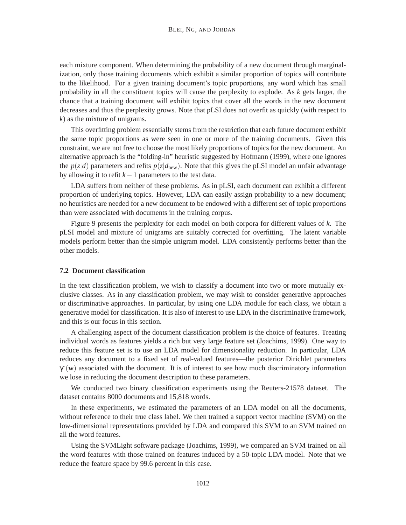each mixture component. When determining the probability of a new document through marginalization, only those training documents which exhibit a similar proportion of topics will contribute to the likelihood. For a given training document's topic proportions, any word which has small probability in all the constituent topics will cause the perplexity to explode. As *k* gets larger, the chance that a training document will exhibit topics that cover all the words in the new document decreases and thus the perplexity grows. Note that pLSI does not overfit as quickly (with respect to *k*) as the mixture of unigrams.

This overfitting problem essentially stems from the restriction that each future document exhibit the same topic proportions as were seen in one or more of the training documents. Given this constraint, we are not free to choose the most likely proportions of topics for the new document. An alternative approach is the "folding-in" heuristic suggested by Hofmann (1999), where one ignores the  $p(z|d)$  parameters and refits  $p(z|d_{\text{new}})$ . Note that this gives the pLSI model an unfair advantage by allowing it to refit  $k-1$  parameters to the test data.

LDA suffers from neither of these problems. As in pLSI, each document can exhibit a different proportion of underlying topics. However, LDA can easily assign probability to a new document; no heuristics are needed for a new document to be endowed with a different set of topic proportions than were associated with documents in the training corpus.

Figure 9 presents the perplexity for each model on both corpora for different values of *k*. The pLSI model and mixture of unigrams are suitably corrected for overfitting. The latent variable models perform better than the simple unigram model. LDA consistently performs better than the other models.

#### **7.2 Document classification**

In the text classification problem, we wish to classify a document into two or more mutually exclusive classes. As in any classification problem, we may wish to consider generative approaches or discriminative approaches. In particular, by using one LDA module for each class, we obtain a generative model for classification. It is also of interest to use LDA in the discriminative framework, and this is our focus in this section.

A challenging aspect of the document classification problem is the choice of features. Treating individual words as features yields a rich but very large feature set (Joachims, 1999). One way to reduce this feature set is to use an LDA model for dimensionality reduction. In particular, LDA reduces any document to a fixed set of real-valued features—the posterior Dirichlet parameters γ∗(**w**) associated with the document. It is of interest to see how much discriminatory information we lose in reducing the document description to these parameters.

We conducted two binary classification experiments using the Reuters-21578 dataset. The dataset contains 8000 documents and 15,818 words.

In these experiments, we estimated the parameters of an LDA model on all the documents, without reference to their true class label. We then trained a support vector machine (SVM) on the low-dimensional representations provided by LDA and compared this SVM to an SVM trained on all the word features.

Using the SVMLight software package (Joachims, 1999), we compared an SVM trained on all the word features with those trained on features induced by a 50-topic LDA model. Note that we reduce the feature space by 99.6 percent in this case.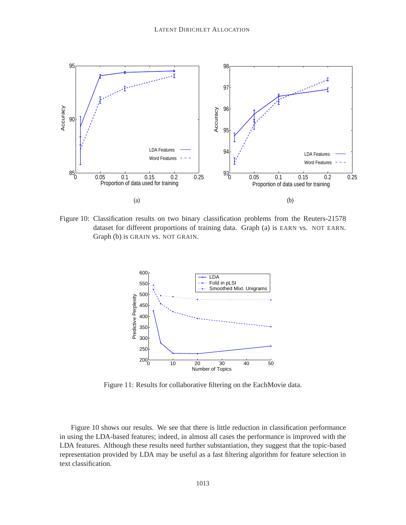

Figure 10: Classification results on two binary classification problems from the Reuters-21578 dataset for different proportions of training data. Graph (a) is EARN vs. NOT EARN. Graph (b) is GRAIN vs. NOT GRAIN.



Figure 11: Results for collaborative filtering on the EachMovie data.

Figure 10 shows our results. We see that there is little reduction in classification performance in using the LDA-based features; indeed, in almost all cases the performance is improved with the LDA features. Although these results need further substantiation, they suggest that the topic-based representation provided by LDA may be useful as a fast filtering algorithm for feature selection in text classification.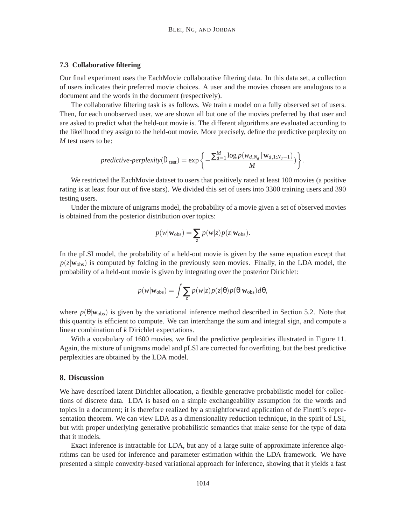#### **7.3 Collaborative filtering**

Our final experiment uses the EachMovie collaborative filtering data. In this data set, a collection of users indicates their preferred movie choices. A user and the movies chosen are analogous to a document and the words in the document (respectively).

The collaborative filtering task is as follows. We train a model on a fully observed set of users. Then, for each unobserved user, we are shown all but one of the movies preferred by that user and are asked to predict what the held-out movie is. The different algorithms are evaluated according to the likelihood they assign to the held-out movie. More precisely, define the predictive perplexity on *M* test users to be:

predictive-perplexity(
$$
D_{\text{test}}
$$
) = exp $\left\{-\frac{\sum_{d=1}^{M} \log p(w_{d,N_d} | \mathbf{w}_{d,1:N_d-1})}{M}\right\}.$ 

We restricted the EachMovie dataset to users that positively rated at least 100 movies (a positive rating is at least four out of five stars). We divided this set of users into 3300 training users and 390 testing users.

Under the mixture of unigrams model, the probability of a movie given a set of observed movies is obtained from the posterior distribution over topics:

$$
p(w|\mathbf{w}_{\text{obs}}) = \sum_{z} p(w|z) p(z|\mathbf{w}_{\text{obs}}).
$$

In the pLSI model, the probability of a held-out movie is given by the same equation except that  $p(z|\mathbf{w}_{obs})$  is computed by folding in the previously seen movies. Finally, in the LDA model, the probability of a held-out movie is given by integrating over the posterior Dirichlet:

$$
p(w|\mathbf{w}_{\text{obs}}) = \int \sum_{z} p(w|z) p(z|\theta) p(\theta|\mathbf{w}_{\text{obs}}) d\theta,
$$

where  $p(\theta|\mathbf{w}_{obs})$  is given by the variational inference method described in Section 5.2. Note that this quantity is efficient to compute. We can interchange the sum and integral sign, and compute a linear combination of *k* Dirichlet expectations.

With a vocabulary of 1600 movies, we find the predictive perplexities illustrated in Figure 11. Again, the mixture of unigrams model and pLSI are corrected for overfitting, but the best predictive perplexities are obtained by the LDA model.

#### **8. Discussion**

We have described latent Dirichlet allocation, a flexible generative probabilistic model for collections of discrete data. LDA is based on a simple exchangeability assumption for the words and topics in a document; it is therefore realized by a straightforward application of de Finetti's representation theorem. We can view LDA as a dimensionality reduction technique, in the spirit of LSI, but with proper underlying generative probabilistic semantics that make sense for the type of data that it models.

Exact inference is intractable for LDA, but any of a large suite of approximate inference algorithms can be used for inference and parameter estimation within the LDA framework. We have presented a simple convexity-based variational approach for inference, showing that it yields a fast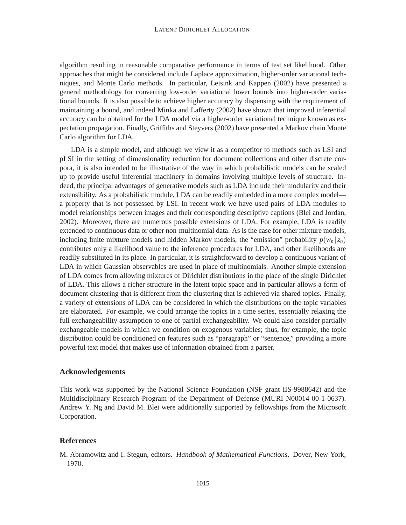algorithm resulting in reasonable comparative performance in terms of test set likelihood. Other approaches that might be considered include Laplace approximation, higher-order variational techniques, and Monte Carlo methods. In particular, Leisink and Kappen (2002) have presented a general methodology for converting low-order variational lower bounds into higher-order variational bounds. It is also possible to achieve higher accuracy by dispensing with the requirement of maintaining a bound, and indeed Minka and Lafferty (2002) have shown that improved inferential accuracy can be obtained for the LDA model via a higher-order variational technique known as expectation propagation. Finally, Griffiths and Steyvers (2002) have presented a Markov chain Monte Carlo algorithm for LDA.

LDA is a simple model, and although we view it as a competitor to methods such as LSI and pLSI in the setting of dimensionality reduction for document collections and other discrete corpora, it is also intended to be illustrative of the way in which probabilistic models can be scaled up to provide useful inferential machinery in domains involving multiple levels of structure. Indeed, the principal advantages of generative models such as LDA include their modularity and their extensibility. As a probabilistic module, LDA can be readily embedded in a more complex model a property that is not possessed by LSI. In recent work we have used pairs of LDA modules to model relationships between images and their corresponding descriptive captions (Blei and Jordan, 2002). Moreover, there are numerous possible extensions of LDA. For example, LDA is readily extended to continuous data or other non-multinomial data. As is the case for other mixture models, including finite mixture models and hidden Markov models, the "emission" probability  $p(w_n | z_n)$ contributes only a likelihood value to the inference procedures for LDA, and other likelihoods are readily substituted in its place. In particular, it is straightforward to develop a continuous variant of LDA in which Gaussian observables are used in place of multinomials. Another simple extension of LDA comes from allowing mixtures of Dirichlet distributions in the place of the single Dirichlet of LDA. This allows a richer structure in the latent topic space and in particular allows a form of document clustering that is different from the clustering that is achieved via shared topics. Finally, a variety of extensions of LDA can be considered in which the distributions on the topic variables are elaborated. For example, we could arrange the topics in a time series, essentially relaxing the full exchangeability assumption to one of partial exchangeability. We could also consider partially exchangeable models in which we condition on exogenous variables; thus, for example, the topic distribution could be conditioned on features such as "paragraph" or "sentence," providing a more powerful text model that makes use of information obtained from a parser.

# **Acknowledgements**

This work was supported by the National Science Foundation (NSF grant IIS-9988642) and the Multidisciplinary Research Program of the Department of Defense (MURI N00014-00-1-0637). Andrew Y. Ng and David M. Blei were additionally supported by fellowships from the Microsoft Corporation.

# **References**

M. Abramowitz and I. Stegun, editors. *Handbook of Mathematical Functions*. Dover, New York, 1970.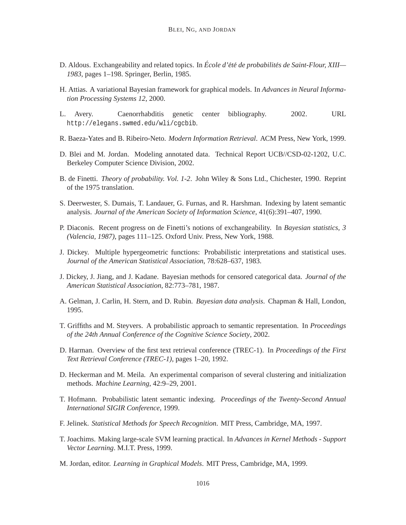- D. Aldous. Exchangeability and related topics. In *École d'été de probabilités de Saint-Flour, XIII— 1983*, pages 1–198. Springer, Berlin, 1985.
- H. Attias. A variational Bayesian framework for graphical models. In *Advances in Neural Information Processing Systems 12*, 2000.
- L. Avery. Caenorrhabditis genetic center bibliography. 2002. URL http://elegans.swmed.edu/wli/cgcbib.
- R. Baeza-Yates and B. Ribeiro-Neto. *Modern Information Retrieval*. ACM Press, New York, 1999.
- D. Blei and M. Jordan. Modeling annotated data. Technical Report UCB//CSD-02-1202, U.C. Berkeley Computer Science Division, 2002.
- B. de Finetti. *Theory of probability. Vol. 1-2*. John Wiley & Sons Ltd., Chichester, 1990. Reprint of the 1975 translation.
- S. Deerwester, S. Dumais, T. Landauer, G. Furnas, and R. Harshman. Indexing by latent semantic analysis. *Journal of the American Society of Information Science*, 41(6):391–407, 1990.
- P. Diaconis. Recent progress on de Finetti's notions of exchangeability. In *Bayesian statistics, 3 (Valencia, 1987)*, pages 111–125. Oxford Univ. Press, New York, 1988.
- J. Dickey. Multiple hypergeometric functions: Probabilistic interpretations and statistical uses. *Journal of the American Statistical Association*, 78:628–637, 1983.
- J. Dickey, J. Jiang, and J. Kadane. Bayesian methods for censored categorical data. *Journal of the American Statistical Association*, 82:773–781, 1987.
- A. Gelman, J. Carlin, H. Stern, and D. Rubin. *Bayesian data analysis*. Chapman & Hall, London, 1995.
- T. Griffiths and M. Steyvers. A probabilistic approach to semantic representation. In *Proceedings of the 24th Annual Conference of the Cognitive Science Society*, 2002.
- D. Harman. Overview of the first text retrieval conference (TREC-1). In *Proceedings of the First Text Retrieval Conference (TREC-1)*, pages 1–20, 1992.
- D. Heckerman and M. Meila. An experimental comparison of several clustering and initialization methods. *Machine Learning*, 42:9–29, 2001.
- T. Hofmann. Probabilistic latent semantic indexing. *Proceedings of the Twenty-Second Annual International SIGIR Conference*, 1999.
- F. Jelinek. *Statistical Methods for Speech Recognition*. MIT Press, Cambridge, MA, 1997.
- T. Joachims. Making large-scale SVM learning practical. In *Advances in Kernel Methods Support Vector Learning*. M.I.T. Press, 1999.
- M. Jordan, editor. *Learning in Graphical Models*. MIT Press, Cambridge, MA, 1999.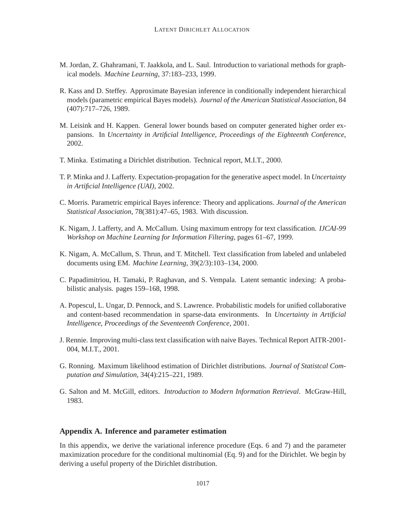- M. Jordan, Z. Ghahramani, T. Jaakkola, and L. Saul. Introduction to variational methods for graphical models. *Machine Learning*, 37:183–233, 1999.
- R. Kass and D. Steffey. Approximate Bayesian inference in conditionally independent hierarchical models (parametric empirical Bayes models). *Journal of the American Statistical Association*, 84 (407):717–726, 1989.
- M. Leisink and H. Kappen. General lower bounds based on computer generated higher order expansions. In *Uncertainty in Artificial Intelligence, Proceedings of the Eighteenth Conference*, 2002.
- T. Minka. Estimating a Dirichlet distribution. Technical report, M.I.T., 2000.
- T. P. Minka and J. Lafferty. Expectation-propagation for the generative aspect model. In *Uncertainty in Artificial Intelligence (UAI)*, 2002.
- C. Morris. Parametric empirical Bayes inference: Theory and applications. *Journal of the American Statistical Association*, 78(381):47–65, 1983. With discussion.
- K. Nigam, J. Lafferty, and A. McCallum. Using maximum entropy for text classification. *IJCAI-99 Workshop on Machine Learning for Information Filtering*, pages 61–67, 1999.
- K. Nigam, A. McCallum, S. Thrun, and T. Mitchell. Text classification from labeled and unlabeled documents using EM. *Machine Learning*, 39(2/3):103–134, 2000.
- C. Papadimitriou, H. Tamaki, P. Raghavan, and S. Vempala. Latent semantic indexing: A probabilistic analysis. pages 159–168, 1998.
- A. Popescul, L. Ungar, D. Pennock, and S. Lawrence. Probabilistic models for unified collaborative and content-based recommendation in sparse-data environments. In *Uncertainty in Artificial Intelligence, Proceedings of the Seventeenth Conference*, 2001.
- J. Rennie. Improving multi-class text classification with naive Bayes. Technical Report AITR-2001- 004, M.I.T., 2001.
- G. Ronning. Maximum likelihood estimation of Dirichlet distributions. *Journal of Statistcal Computation and Simulation*, 34(4):215–221, 1989.
- G. Salton and M. McGill, editors. *Introduction to Modern Information Retrieval*. McGraw-Hill, 1983.

### **Appendix A. Inference and parameter estimation**

In this appendix, we derive the variational inference procedure (Eqs. 6 and 7) and the parameter maximization procedure for the conditional multinomial (Eq. 9) and for the Dirichlet. We begin by deriving a useful property of the Dirichlet distribution.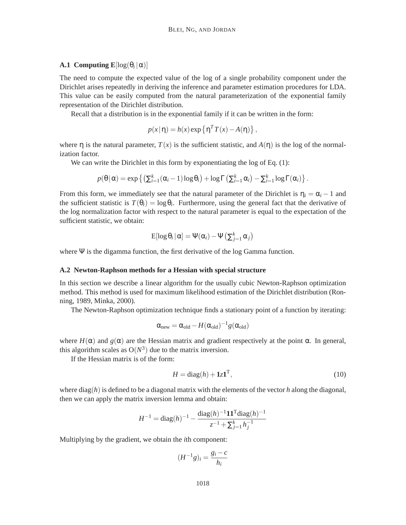### **A.1 Computing**  $\mathbf{E}[\log(\theta_i|\alpha)]$

The need to compute the expected value of the log of a single probability component under the Dirichlet arises repeatedly in deriving the inference and parameter estimation procedures for LDA. This value can be easily computed from the natural parameterization of the exponential family representation of the Dirichlet distribution.

Recall that a distribution is in the exponential family if it can be written in the form:

$$
p(x|\eta) = h(x) \exp\left\{\eta^T T(x) - A(\eta)\right\},\,
$$

where  $\eta$  is the natural parameter,  $T(x)$  is the sufficient statistic, and  $A(\eta)$  is the log of the normalization factor.

We can write the Dirichlet in this form by exponentiating the log of Eq. (1):

$$
p(\theta | \alpha) = \exp \left\{ \left( \sum_{i=1}^k (\alpha_i - 1) \log \theta_i \right) + \log \Gamma \left( \sum_{i=1}^k \alpha_i \right) - \sum_{i=1}^k \log \Gamma(\alpha_i) \right\}.
$$

From this form, we immediately see that the natural parameter of the Dirichlet is  $\eta_i = \alpha_i - 1$  and the sufficient statistic is  $T(\theta_i) = \log \theta_i$ . Furthermore, using the general fact that the derivative of the log normalization factor with respect to the natural parameter is equal to the expectation of the sufficient statistic, we obtain:

$$
E[\log \theta_i | \alpha] = \Psi(\alpha_i) - \Psi(\sum_{j=1}^k \alpha_j)
$$

where  $\Psi$  is the digamma function, the first derivative of the log Gamma function.

#### **A.2 Newton-Raphson methods for a Hessian with special structure**

In this section we describe a linear algorithm for the usually cubic Newton-Raphson optimization method. This method is used for maximum likelihood estimation of the Dirichlet distribution (Ronning, 1989, Minka, 2000).

The Newton-Raphson optimization technique finds a stationary point of a function by iterating:

$$
\alpha_{new} = \alpha_{old} - H(\alpha_{old})^{-1}g(\alpha_{old})
$$

where  $H(\alpha)$  and  $g(\alpha)$  are the Hessian matrix and gradient respectively at the point  $\alpha$ . In general, this algorithm scales as  $O(N^3)$  due to the matrix inversion.

If the Hessian matrix is of the form:

$$
H = \text{diag}(h) + 1z\mathbf{1}^{\mathrm{T}},\tag{10}
$$

where diag(*h*) is defined to be a diagonal matrix with the elements of the vector *h* along the diagonal, then we can apply the matrix inversion lemma and obtain:

$$
H^{-1} = \text{diag}(h)^{-1} - \frac{\text{diag}(h)^{-1} \mathbf{1} \mathbf{1}^{\text{T}} \text{diag}(h)^{-1}}{z^{-1} + \sum_{j=1}^{k} h_j^{-1}}
$$

Multiplying by the gradient, we obtain the *i*th component:

$$
(H^{-1}g)_i = \frac{g_i - c}{h_i}
$$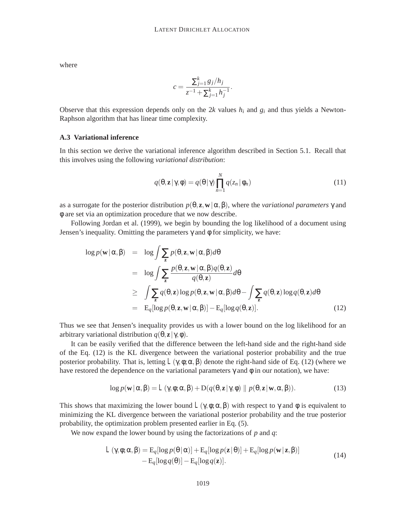where

$$
c = \frac{\sum_{j=1}^{k} g_j / h_j}{z^{-1} + \sum_{j=1}^{k} h_j^{-1}}.
$$

Observe that this expression depends only on the  $2k$  values  $h_i$  and  $g_i$  and thus yields a Newton-Raphson algorithm that has linear time complexity.

#### **A.3 Variational inference**

In this section we derive the variational inference algorithm described in Section 5.1. Recall that this involves using the following *variational distribution*:

$$
q(\theta, \mathbf{z} | \gamma, \phi) = q(\theta | \gamma) \prod_{n=1}^{N} q(z_n | \phi_n)
$$
 (11)

as a surrogate for the posterior distribution  $p(\theta, \mathbf{z}, \mathbf{w} | \alpha, \beta)$ , where the *variational parameters*  $\gamma$  and φ are set via an optimization procedure that we now describe.

Following Jordan et al. (1999), we begin by bounding the log likelihood of a document using Jensen's inequality. Omitting the parameters  $γ$  and  $φ$  for simplicity, we have:

$$
\log p(\mathbf{w} | \alpha, \beta) = \log \int \sum_{\mathbf{z}} p(\theta, \mathbf{z}, \mathbf{w} | \alpha, \beta) d\theta
$$
  
\n
$$
= \log \int \sum_{\mathbf{z}} \frac{p(\theta, \mathbf{z}, \mathbf{w} | \alpha, \beta) q(\theta, \mathbf{z})}{q(\theta, \mathbf{z})} d\theta
$$
  
\n
$$
\geq \int \sum_{\mathbf{z}} q(\theta, \mathbf{z}) \log p(\theta, \mathbf{z}, \mathbf{w} | \alpha, \beta) d\theta - \int \sum_{\mathbf{z}} q(\theta, \mathbf{z}) \log q(\theta, \mathbf{z}) d\theta
$$
  
\n
$$
= \mathbb{E}_{q}[\log p(\theta, \mathbf{z}, \mathbf{w} | \alpha, \beta)] - \mathbb{E}_{q}[\log q(\theta, \mathbf{z})]. \tag{12}
$$

Thus we see that Jensen's inequality provides us with a lower bound on the log likelihood for an arbitrary variational distribution *q*(θ, **z**| γ,φ).

It can be easily verified that the difference between the left-hand side and the right-hand side of the Eq. (12) is the KL divergence between the variational posterior probability and the true posterior probability. That is, letting  $L(\gamma, \phi; \alpha, \beta)$  denote the right-hand side of Eq. (12) (where we have restored the dependence on the variational parameters  $\gamma$  and  $\phi$  in our notation), we have:

$$
\log p(\mathbf{w}|\alpha,\beta) = L(\gamma,\phi;\alpha,\beta) + D(q(\theta,\mathbf{z}|\gamma,\phi) \| p(\theta,\mathbf{z}|\mathbf{w},\alpha,\beta)).
$$
\n(13)

This shows that maximizing the lower bound  $L(\gamma, \phi; \alpha, \beta)$  with respect to  $\gamma$  and  $\phi$  is equivalent to minimizing the KL divergence between the variational posterior probability and the true posterior probability, the optimization problem presented earlier in Eq. (5).

We now expand the lower bound by using the factorizations of *p* and *q*:

$$
L(\gamma, \phi; \alpha, \beta) = \mathbb{E}_q[\log p(\theta | \alpha)] + \mathbb{E}_q[\log p(\mathbf{z} | \theta)] + \mathbb{E}_q[\log p(\mathbf{w} | \mathbf{z}, \beta)] - \mathbb{E}_q[\log q(\theta)] - \mathbb{E}_q[\log q(\mathbf{z})].
$$
\n(14)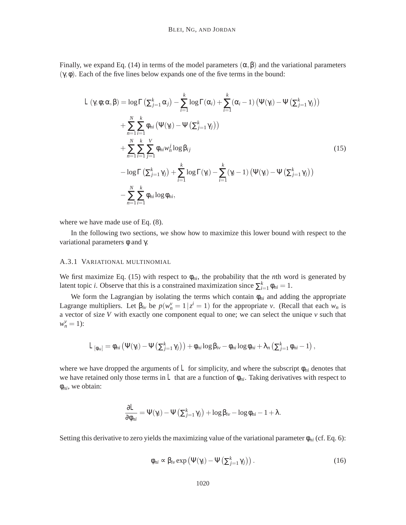Finally, we expand Eq. (14) in terms of the model parameters  $(\alpha, \beta)$  and the variational parameters (γ,φ). Each of the five lines below expands one of the five terms in the bound:

$$
L(\gamma, \phi; \alpha, \beta) = \log \Gamma(\sum_{j=1}^{k} \alpha_{j}) - \sum_{i=1}^{k} \log \Gamma(\alpha_{i}) + \sum_{i=1}^{k} (\alpha_{i} - 1) (\Psi(\gamma_{i}) - \Psi(\sum_{j=1}^{k} \gamma_{j}))
$$
  
+ 
$$
\sum_{n=1}^{N} \sum_{i=1}^{k} \phi_{ni} (\Psi(\gamma_{i}) - \Psi(\sum_{j=1}^{k} \gamma_{j}))
$$
  
+ 
$$
\sum_{n=1}^{N} \sum_{i=1}^{k} \sum_{j=1}^{V} \phi_{ni} w_{n}^{j} \log \beta_{ij}
$$
  
- 
$$
\log \Gamma(\sum_{j=1}^{k} \gamma_{j}) + \sum_{i=1}^{k} \log \Gamma(\gamma_{i}) - \sum_{i=1}^{k} (\gamma_{i} - 1) (\Psi(\gamma_{i}) - \Psi(\sum_{j=1}^{k} \gamma_{j}))
$$
  
- 
$$
\sum_{n=1}^{N} \sum_{i=1}^{k} \phi_{ni} \log \phi_{ni},
$$
 (15)

where we have made use of Eq. (8).

In the following two sections, we show how to maximize this lower bound with respect to the variational parameters  $φ$  and  $γ$ .

### A.3.1 VARIATIONAL MULTINOMIAL

We first maximize Eq. (15) with respect to  $\phi_{ni}$ , the probability that the *n*th word is generated by latent topic *i*. Observe that this is a constrained maximization since  $\sum_{i=1}^{k} \phi_{ni} = 1$ .

We form the Lagrangian by isolating the terms which contain φ*ni* and adding the appropriate Lagrange multipliers. Let  $\beta_{iv}$  be  $p(w_n^v = 1 | z^i = 1)$  for the appropriate *v*. (Recall that each  $w_n$  is a vector of size *V* with exactly one component equal to one; we can select the unique *v* such that  $w_n^{\nu} = 1$ :

$$
L_{\left[\phi_{ni}\right]} = \phi_{ni} \left( \Psi(\gamma_i) - \Psi\left(\sum_{j=1}^k \gamma_j\right) \right) + \phi_{ni} \log \beta_{iv} - \phi_{ni} \log \phi_{ni} + \lambda_n \left(\sum_{j=1}^k \phi_{ni} - 1\right),
$$

where we have dropped the arguments of  $L$  for simplicity, and where the subscript  $\phi_{ni}$  denotes that we have retained only those terms in  $L$  that are a function of  $\phi_{ni}$ . Taking derivatives with respect to φ*ni*, we obtain:

$$
\frac{\partial L}{\partial \phi_{ni}} = \Psi(\gamma_i) - \Psi(\sum_{j=1}^k \gamma_j) + \log \beta_{iv} - \log \phi_{ni} - 1 + \lambda.
$$

Setting this derivative to zero yields the maximizing value of the variational parameter  $\phi_{ni}$  (cf. Eq. 6):

$$
\phi_{ni} \propto \beta_{iv} \exp\left(\Psi(\gamma_i) - \Psi\left(\sum_{j=1}^k \gamma_j\right)\right). \tag{16}
$$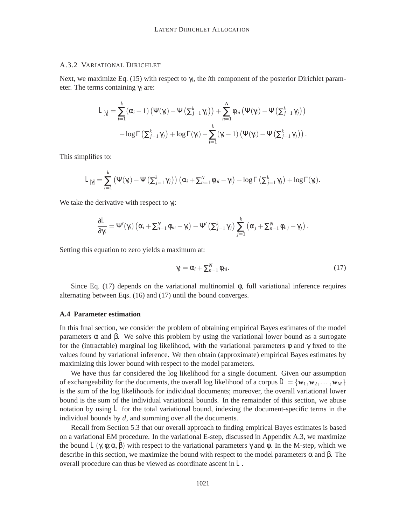#### A.3.2 VARIATIONAL DIRICHLET

Next, we maximize Eq. (15) with respect to γ*i*, the *i*th component of the posterior Dirichlet parameter. The terms containing γ*<sup>i</sup>* are:

$$
L_{[\gamma]} = \sum_{i=1}^{k} (\alpha_i - 1) (\Psi(\gamma_i) - \Psi(\Sigma_{j=1}^k \gamma_j)) + \sum_{n=1}^{N} \phi_{ni} (\Psi(\gamma_i) - \Psi(\Sigma_{j=1}^k \gamma_j))
$$
  
- log  $\Gamma(\Sigma_{j=1}^k \gamma_j) + log \Gamma(\gamma_i) - \sum_{i=1}^{k} (\gamma_i - 1) (\Psi(\gamma_i) - \Psi(\Sigma_{j=1}^k \gamma_j)).$ 

This simplifies to:

$$
L_{[\gamma]} = \sum_{i=1}^k (\Psi(\gamma_i) - \Psi(\Sigma_{j=1}^k \gamma_j)) (\alpha_i + \Sigma_{n=1}^N \phi_{ni} - \gamma_i) - \log \Gamma(\Sigma_{j=1}^k \gamma_j) + \log \Gamma(\gamma_i).
$$

We take the derivative with respect to γ*i*:

$$
\frac{\partial L}{\partial \gamma_i} = \Psi'(\gamma_i) \left( \alpha_i + \sum_{n=1}^N \phi_{ni} - \gamma_i \right) - \Psi' \left( \sum_{j=1}^k \gamma_j \right) \sum_{j=1}^k \left( \alpha_j + \sum_{n=1}^N \phi_{nj} - \gamma_j \right).
$$

Setting this equation to zero yields a maximum at:

$$
\gamma_i = \alpha_i + \sum_{n=1}^N \phi_{ni}.\tag{17}
$$

Since Eq. (17) depends on the variational multinomial  $\phi$ , full variational inference requires alternating between Eqs. (16) and (17) until the bound converges.

#### **A.4 Parameter estimation**

In this final section, we consider the problem of obtaining empirical Bayes estimates of the model parameters α and β. We solve this problem by using the variational lower bound as a surrogate for the (intractable) marginal log likelihood, with the variational parameters  $\phi$  and  $\gamma$  fixed to the values found by variational inference. We then obtain (approximate) empirical Bayes estimates by maximizing this lower bound with respect to the model parameters.

We have thus far considered the log likelihood for a single document. Given our assumption of exchangeability for the documents, the overall log likelihood of a corpus  $D = \{w_1, w_2, \dots, w_M\}$ is the sum of the log likelihoods for individual documents; moreover, the overall variational lower bound is the sum of the individual variational bounds. In the remainder of this section, we abuse notation by using *L* for the total variational bound, indexing the document-specific terms in the individual bounds by *d*, and summing over all the documents.

Recall from Section 5.3 that our overall approach to finding empirical Bayes estimates is based on a variational EM procedure. In the variational E-step, discussed in Appendix A.3, we maximize the bound  $L(\gamma, \phi; \alpha, \beta)$  with respect to the variational parameters  $\gamma$  and  $\phi$ . In the M-step, which we describe in this section, we maximize the bound with respect to the model parameters  $\alpha$  and  $\beta$ . The overall procedure can thus be viewed as coordinate ascent in *L*.